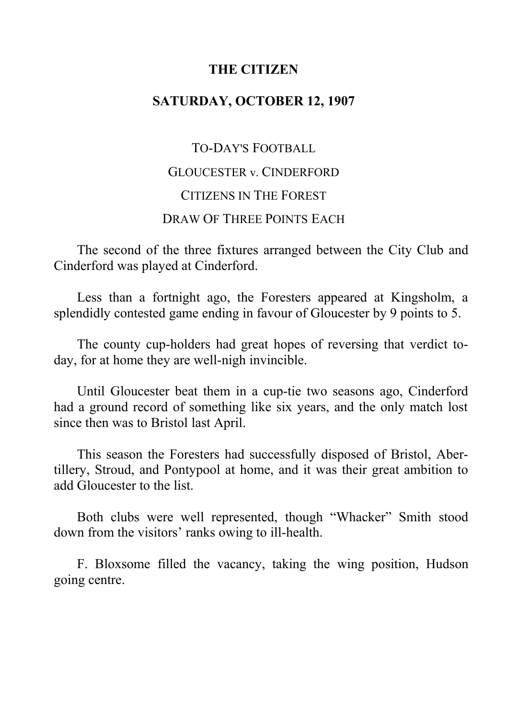## **THE CITIZEN**

# **SATURDAY, OCTOBER 12, 1907**

# TO-DAY'S FOOTBALL GLOUCESTER v. CINDERFORD CITIZENS IN THE FOREST DRAW OF THREE POINTS EACH

The second of the three fixtures arranged between the City Club and Cinderford was played at Cinderford.

Less than a fortnight ago, the Foresters appeared at Kingsholm, a splendidly contested game ending in favour of Gloucester by 9 points to 5.

The county cup-holders had great hopes of reversing that verdict today, for at home they are well-nigh invincible.

Until Gloucester beat them in a cup-tie two seasons ago, Cinderford had a ground record of something like six years, and the only match lost since then was to Bristol last April.

This season the Foresters had successfully disposed of Bristol, Abertillery, Stroud, and Pontypool at home, and it was their great ambition to add Gloucester to the list.

Both clubs were well represented, though "Whacker" Smith stood down from the visitors' ranks owing to ill-health.

F. Bloxsome filled the vacancy, taking the wing position, Hudson going centre.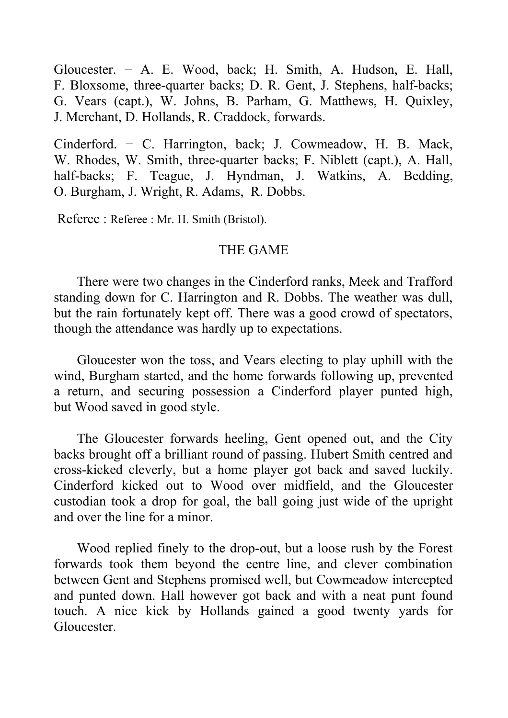Gloucester. − A. E. Wood, back; H. Smith, A. Hudson, E. Hall, F. Bloxsome, three-quarter backs; D. R. Gent, J. Stephens, half-backs; G. Vears (capt.), W. Johns, B. Parham, G. Matthews, H. Quixley, J. Merchant, D. Hollands, R. Craddock, forwards.

Cinderford. − C. Harrington, back; J. Cowmeadow, H. B. Mack, W. Rhodes, W. Smith, three-quarter backs; F. Niblett (capt.), A. Hall, half-backs; F. Teague, J. Hyndman, J. Watkins, A. Bedding, O. Burgham, J. Wright, R. Adams, R. Dobbs.

Referee : Referee : Mr. H. Smith (Bristol).

## THE GAME

There were two changes in the Cinderford ranks, Meek and Trafford standing down for C. Harrington and R. Dobbs. The weather was dull, but the rain fortunately kept off. There was a good crowd of spectators, though the attendance was hardly up to expectations.

Gloucester won the toss, and Vears electing to play uphill with the wind, Burgham started, and the home forwards following up, prevented a return, and securing possession a Cinderford player punted high, but Wood saved in good style.

The Gloucester forwards heeling, Gent opened out, and the City backs brought off a brilliant round of passing. Hubert Smith centred and cross-kicked cleverly, but a home player got back and saved luckily. Cinderford kicked out to Wood over midfield, and the Gloucester custodian took a drop for goal, the ball going just wide of the upright and over the line for a minor.

Wood replied finely to the drop-out, but a loose rush by the Forest forwards took them beyond the centre line, and clever combination between Gent and Stephens promised well, but Cowmeadow intercepted and punted down. Hall however got back and with a neat punt found touch. A nice kick by Hollands gained a good twenty yards for Gloucester.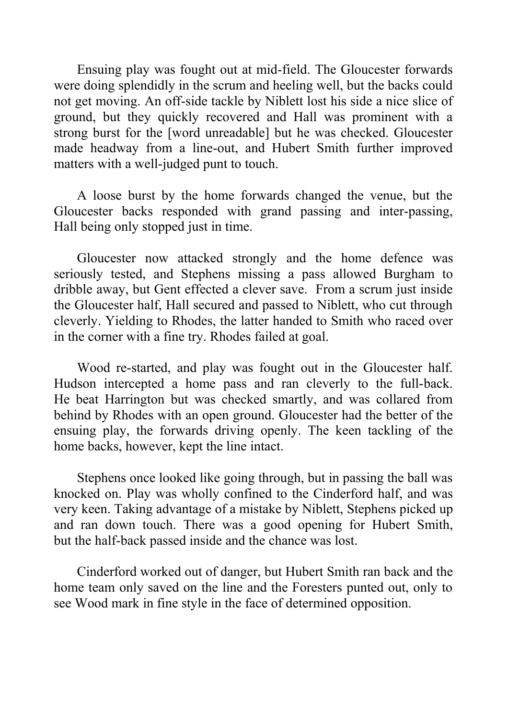Ensuing play was fought out at mid-field. The Gloucester forwards were doing splendidly in the scrum and heeling well, but the backs could not get moving. An off-side tackle by Niblett lost his side a nice slice of ground, but they quickly recovered and Hall was prominent with a strong burst for the [word unreadable] but he was checked. Gloucester made headway from a line-out, and Hubert Smith further improved matters with a well-judged punt to touch.

A loose burst by the home forwards changed the venue, but the Gloucester backs responded with grand passing and inter-passing, Hall being only stopped just in time.

Gloucester now attacked strongly and the home defence was seriously tested, and Stephens missing a pass allowed Burgham to dribble away, but Gent effected a clever save. From a scrum just inside the Gloucester half, Hall secured and passed to Niblett, who cut through cleverly. Yielding to Rhodes, the latter handed to Smith who raced over in the corner with a fine try. Rhodes failed at goal.

Wood re-started, and play was fought out in the Gloucester half. Hudson intercepted a home pass and ran cleverly to the full-back. He beat Harrington but was checked smartly, and was collared from behind by Rhodes with an open ground. Gloucester had the better of the ensuing play, the forwards driving openly. The keen tackling of the home backs, however, kept the line intact.

Stephens once looked like going through, but in passing the ball was knocked on. Play was wholly confined to the Cinderford half, and was very keen. Taking advantage of a mistake by Niblett, Stephens picked up and ran down touch. There was a good opening for Hubert Smith, but the half-back passed inside and the chance was lost.

Cinderford worked out of danger, but Hubert Smith ran back and the home team only saved on the line and the Foresters punted out, only to see Wood mark in fine style in the face of determined opposition.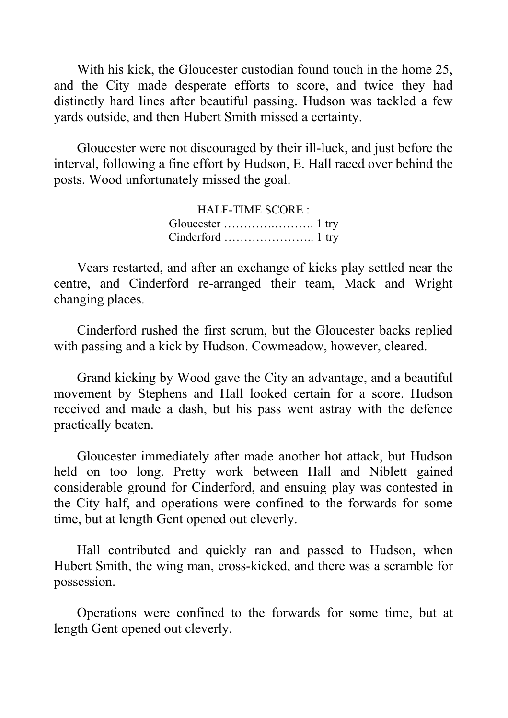With his kick, the Gloucester custodian found touch in the home 25, and the City made desperate efforts to score, and twice they had distinctly hard lines after beautiful passing. Hudson was tackled a few yards outside, and then Hubert Smith missed a certainty.

Gloucester were not discouraged by their ill-luck, and just before the interval, following a fine effort by Hudson, E. Hall raced over behind the posts. Wood unfortunately missed the goal.

> HALF-TIME SCORE : Gloucester ………….………. 1 try Cinderford ………………….. 1 try

Vears restarted, and after an exchange of kicks play settled near the centre, and Cinderford re-arranged their team, Mack and Wright changing places.

Cinderford rushed the first scrum, but the Gloucester backs replied with passing and a kick by Hudson. Cowmeadow, however, cleared.

Grand kicking by Wood gave the City an advantage, and a beautiful movement by Stephens and Hall looked certain for a score. Hudson received and made a dash, but his pass went astray with the defence practically beaten.

Gloucester immediately after made another hot attack, but Hudson held on too long. Pretty work between Hall and Niblett gained considerable ground for Cinderford, and ensuing play was contested in the City half, and operations were confined to the forwards for some time, but at length Gent opened out cleverly.

Hall contributed and quickly ran and passed to Hudson, when Hubert Smith, the wing man, cross-kicked, and there was a scramble for possession.

Operations were confined to the forwards for some time, but at length Gent opened out cleverly.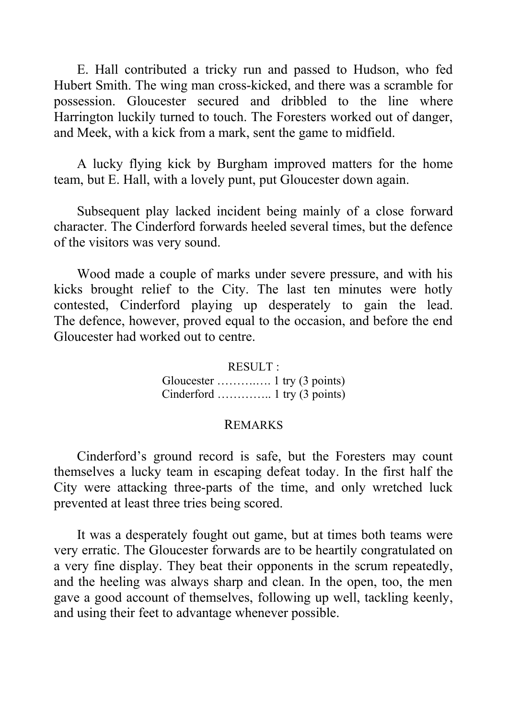E. Hall contributed a tricky run and passed to Hudson, who fed Hubert Smith. The wing man cross-kicked, and there was a scramble for possession. Gloucester secured and dribbled to the line where Harrington luckily turned to touch. The Foresters worked out of danger, and Meek, with a kick from a mark, sent the game to midfield.

A lucky flying kick by Burgham improved matters for the home team, but E. Hall, with a lovely punt, put Gloucester down again.

Subsequent play lacked incident being mainly of a close forward character. The Cinderford forwards heeled several times, but the defence of the visitors was very sound.

Wood made a couple of marks under severe pressure, and with his kicks brought relief to the City. The last ten minutes were hotly contested, Cinderford playing up desperately to gain the lead. The defence, however, proved equal to the occasion, and before the end Gloucester had worked out to centre.

> RESULT : Gloucester ……….…. 1 try (3 points) Cinderford ………….. 1 try (3 points)

#### REMARKS

Cinderford's ground record is safe, but the Foresters may count themselves a lucky team in escaping defeat today. In the first half the City were attacking three-parts of the time, and only wretched luck prevented at least three tries being scored.

It was a desperately fought out game, but at times both teams were very erratic. The Gloucester forwards are to be heartily congratulated on a very fine display. They beat their opponents in the scrum repeatedly, and the heeling was always sharp and clean. In the open, too, the men gave a good account of themselves, following up well, tackling keenly, and using their feet to advantage whenever possible.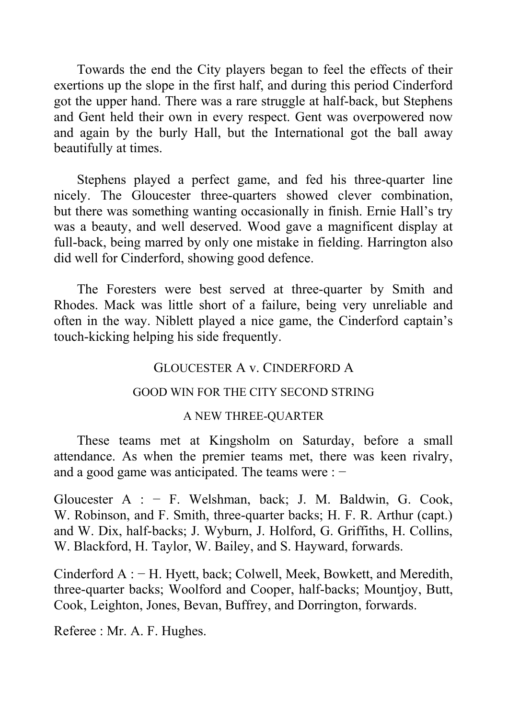Towards the end the City players began to feel the effects of their exertions up the slope in the first half, and during this period Cinderford got the upper hand. There was a rare struggle at half-back, but Stephens and Gent held their own in every respect. Gent was overpowered now and again by the burly Hall, but the International got the ball away beautifully at times.

Stephens played a perfect game, and fed his three-quarter line nicely. The Gloucester three-quarters showed clever combination, but there was something wanting occasionally in finish. Ernie Hall's try was a beauty, and well deserved. Wood gave a magnificent display at full-back, being marred by only one mistake in fielding. Harrington also did well for Cinderford, showing good defence.

The Foresters were best served at three-quarter by Smith and Rhodes. Mack was little short of a failure, being very unreliable and often in the way. Niblett played a nice game, the Cinderford captain's touch-kicking helping his side frequently.

### GLOUCESTER A v. CINDERFORD A

#### GOOD WIN FOR THE CITY SECOND STRING

#### A NEW THREE-QUARTER

These teams met at Kingsholm on Saturday, before a small attendance. As when the premier teams met, there was keen rivalry, and a good game was anticipated. The teams were : −

Gloucester A : − F. Welshman, back; J. M. Baldwin, G. Cook, W. Robinson, and F. Smith, three-quarter backs; H. F. R. Arthur (capt.) and W. Dix, half-backs; J. Wyburn, J. Holford, G. Griffiths, H. Collins, W. Blackford, H. Taylor, W. Bailey, and S. Hayward, forwards.

Cinderford A : − H. Hyett, back; Colwell, Meek, Bowkett, and Meredith, three-quarter backs; Woolford and Cooper, half-backs; Mountjoy, Butt, Cook, Leighton, Jones, Bevan, Buffrey, and Dorrington, forwards.

Referee : Mr. A. F. Hughes.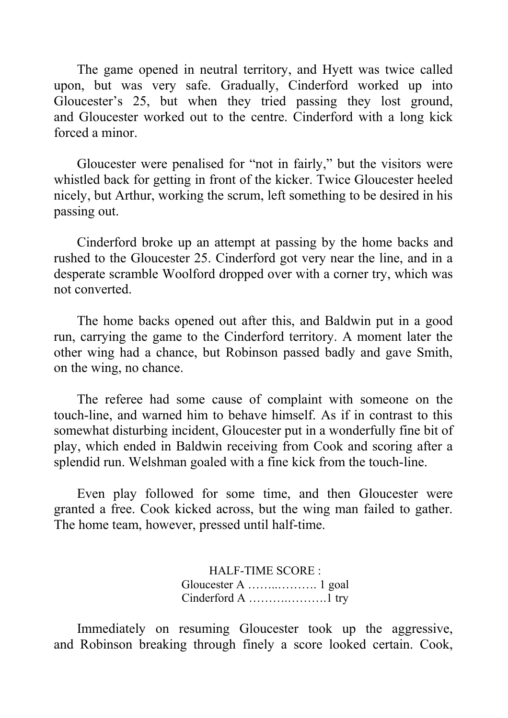The game opened in neutral territory, and Hyett was twice called upon, but was very safe. Gradually, Cinderford worked up into Gloucester's 25, but when they tried passing they lost ground, and Gloucester worked out to the centre. Cinderford with a long kick forced a minor.

Gloucester were penalised for "not in fairly," but the visitors were whistled back for getting in front of the kicker. Twice Gloucester heeled nicely, but Arthur, working the scrum, left something to be desired in his passing out.

Cinderford broke up an attempt at passing by the home backs and rushed to the Gloucester 25. Cinderford got very near the line, and in a desperate scramble Woolford dropped over with a corner try, which was not converted.

The home backs opened out after this, and Baldwin put in a good run, carrying the game to the Cinderford territory. A moment later the other wing had a chance, but Robinson passed badly and gave Smith, on the wing, no chance.

The referee had some cause of complaint with someone on the touch-line, and warned him to behave himself. As if in contrast to this somewhat disturbing incident, Gloucester put in a wonderfully fine bit of play, which ended in Baldwin receiving from Cook and scoring after a splendid run. Welshman goaled with a fine kick from the touch-line.

Even play followed for some time, and then Gloucester were granted a free. Cook kicked across, but the wing man failed to gather. The home team, however, pressed until half-time.

> HALF-TIME SCORE : Gloucester A ……..………. 1 goal Cinderford A ……….……….1 try

Immediately on resuming Gloucester took up the aggressive, and Robinson breaking through finely a score looked certain. Cook,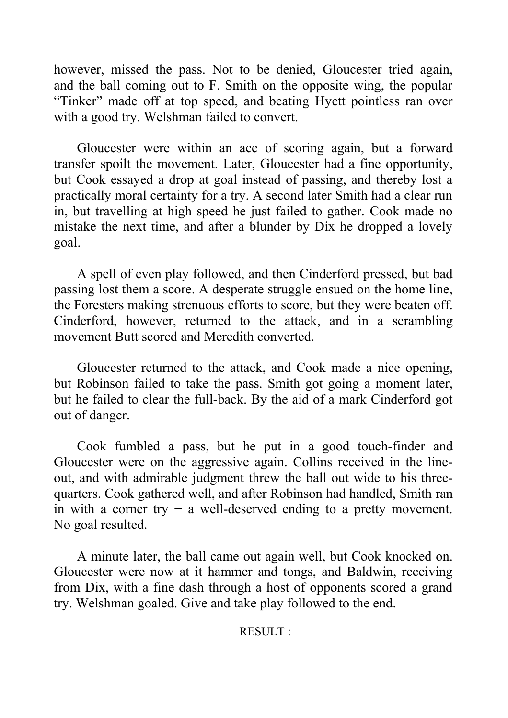however, missed the pass. Not to be denied, Gloucester tried again, and the ball coming out to F. Smith on the opposite wing, the popular "Tinker" made off at top speed, and beating Hyett pointless ran over with a good try. Welshman failed to convert.

Gloucester were within an ace of scoring again, but a forward transfer spoilt the movement. Later, Gloucester had a fine opportunity, but Cook essayed a drop at goal instead of passing, and thereby lost a practically moral certainty for a try. A second later Smith had a clear run in, but travelling at high speed he just failed to gather. Cook made no mistake the next time, and after a blunder by Dix he dropped a lovely goal.

A spell of even play followed, and then Cinderford pressed, but bad passing lost them a score. A desperate struggle ensued on the home line, the Foresters making strenuous efforts to score, but they were beaten off. Cinderford, however, returned to the attack, and in a scrambling movement Butt scored and Meredith converted.

Gloucester returned to the attack, and Cook made a nice opening, but Robinson failed to take the pass. Smith got going a moment later, but he failed to clear the full-back. By the aid of a mark Cinderford got out of danger.

Cook fumbled a pass, but he put in a good touch-finder and Gloucester were on the aggressive again. Collins received in the lineout, and with admirable judgment threw the ball out wide to his threequarters. Cook gathered well, and after Robinson had handled, Smith ran in with a corner try  $-$  a well-deserved ending to a pretty movement. No goal resulted.

A minute later, the ball came out again well, but Cook knocked on. Gloucester were now at it hammer and tongs, and Baldwin, receiving from Dix, with a fine dash through a host of opponents scored a grand try. Welshman goaled. Give and take play followed to the end.